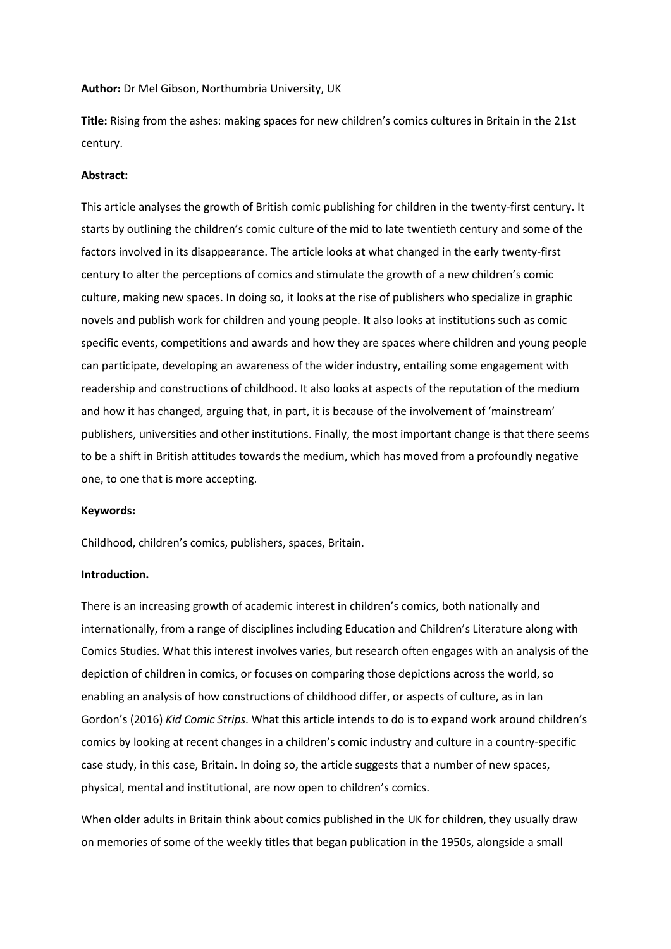**Author:** Dr Mel Gibson, Northumbria University, UK

**Title:** Rising from the ashes: making spaces for new children's comics cultures in Britain in the 21st century.

## **Abstract:**

This article analyses the growth of British comic publishing for children in the twenty-first century. It starts by outlining the children's comic culture of the mid to late twentieth century and some of the factors involved in its disappearance. The article looks at what changed in the early twenty-first century to alter the perceptions of comics and stimulate the growth of a new children's comic culture, making new spaces. In doing so, it looks at the rise of publishers who specialize in graphic novels and publish work for children and young people. It also looks at institutions such as comic specific events, competitions and awards and how they are spaces where children and young people can participate, developing an awareness of the wider industry, entailing some engagement with readership and constructions of childhood. It also looks at aspects of the reputation of the medium and how it has changed, arguing that, in part, it is because of the involvement of 'mainstream' publishers, universities and other institutions. Finally, the most important change is that there seems to be a shift in British attitudes towards the medium, which has moved from a profoundly negative one, to one that is more accepting.

## **Keywords:**

Childhood, children's comics, publishers, spaces, Britain.

# **Introduction.**

There is an increasing growth of academic interest in children's comics, both nationally and internationally, from a range of disciplines including Education and Children's Literature along with Comics Studies. What this interest involves varies, but research often engages with an analysis of the depiction of children in comics, or focuses on comparing those depictions across the world, so enabling an analysis of how constructions of childhood differ, or aspects of culture, as in Ian Gordon's (2016) *Kid Comic Strips*. What this article intends to do is to expand work around children's comics by looking at recent changes in a children's comic industry and culture in a country-specific case study, in this case, Britain. In doing so, the article suggests that a number of new spaces, physical, mental and institutional, are now open to children's comics.

When older adults in Britain think about comics published in the UK for children, they usually draw on memories of some of the weekly titles that began publication in the 1950s, alongside a small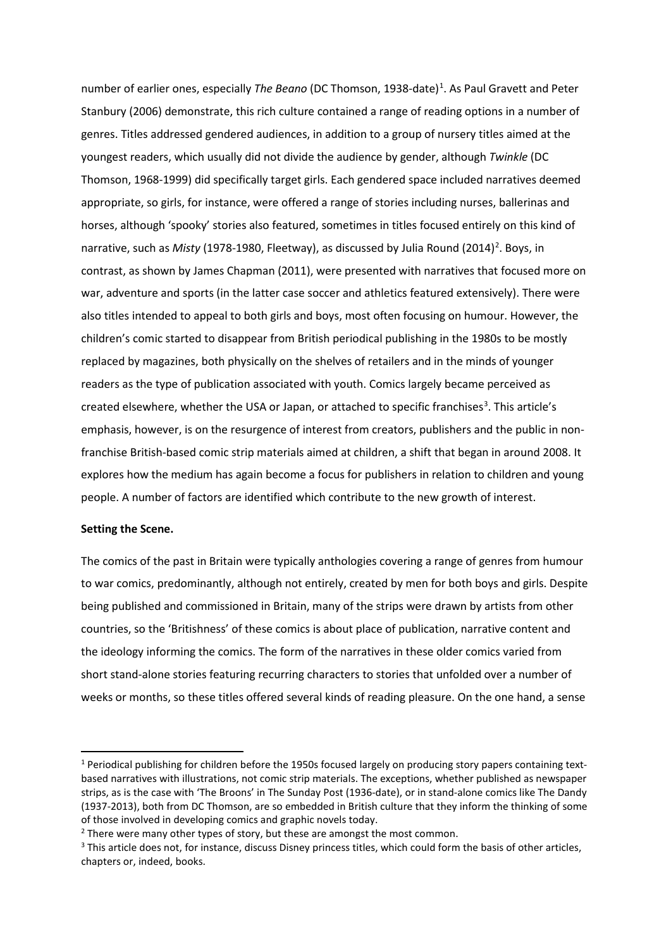number of earlier ones, especially *The Beano* (DC Thomson, [1](#page-1-0)938-date)<sup>1</sup>. As Paul Gravett and Peter Stanbury (2006) demonstrate, this rich culture contained a range of reading options in a number of genres. Titles addressed gendered audiences, in addition to a group of nursery titles aimed at the youngest readers, which usually did not divide the audience by gender, although *Twinkle* (DC Thomson, 1968-1999) did specifically target girls. Each gendered space included narratives deemed appropriate, so girls, for instance, were offered a range of stories including nurses, ballerinas and horses, although 'spooky' stories also featured, sometimes in titles focused entirely on this kind of narrative, such as Misty (1978-1980, Fleetway), as discussed by Julia Round ([2](#page-1-1)014)<sup>2</sup>. Boys, in contrast, as shown by James Chapman (2011), were presented with narratives that focused more on war, adventure and sports (in the latter case soccer and athletics featured extensively). There were also titles intended to appeal to both girls and boys, most often focusing on humour. However, the children's comic started to disappear from British periodical publishing in the 1980s to be mostly replaced by magazines, both physically on the shelves of retailers and in the minds of younger readers as the type of publication associated with youth. Comics largely became perceived as created elsewhere, whether the USA or Japan, or attached to specific franchises<sup>[3](#page-1-2)</sup>. This article's emphasis, however, is on the resurgence of interest from creators, publishers and the public in nonfranchise British-based comic strip materials aimed at children, a shift that began in around 2008. It explores how the medium has again become a focus for publishers in relation to children and young people. A number of factors are identified which contribute to the new growth of interest.

## **Setting the Scene.**

The comics of the past in Britain were typically anthologies covering a range of genres from humour to war comics, predominantly, although not entirely, created by men for both boys and girls. Despite being published and commissioned in Britain, many of the strips were drawn by artists from other countries, so the 'Britishness' of these comics is about place of publication, narrative content and the ideology informing the comics. The form of the narratives in these older comics varied from short stand-alone stories featuring recurring characters to stories that unfolded over a number of weeks or months, so these titles offered several kinds of reading pleasure. On the one hand, a sense

<span id="page-1-0"></span><sup>&</sup>lt;sup>1</sup> Periodical publishing for children before the 1950s focused largely on producing story papers containing textbased narratives with illustrations, not comic strip materials. The exceptions, whether published as newspaper strips, as is the case with 'The Broons' in The Sunday Post (1936-date), or in stand-alone comics like The Dandy (1937-2013), both from DC Thomson, are so embedded in British culture that they inform the thinking of some of those involved in developing comics and graphic novels today.

<span id="page-1-1"></span><sup>&</sup>lt;sup>2</sup> There were many other types of story, but these are amongst the most common.

<span id="page-1-2"></span><sup>&</sup>lt;sup>3</sup> This article does not, for instance, discuss Disney princess titles, which could form the basis of other articles, chapters or, indeed, books.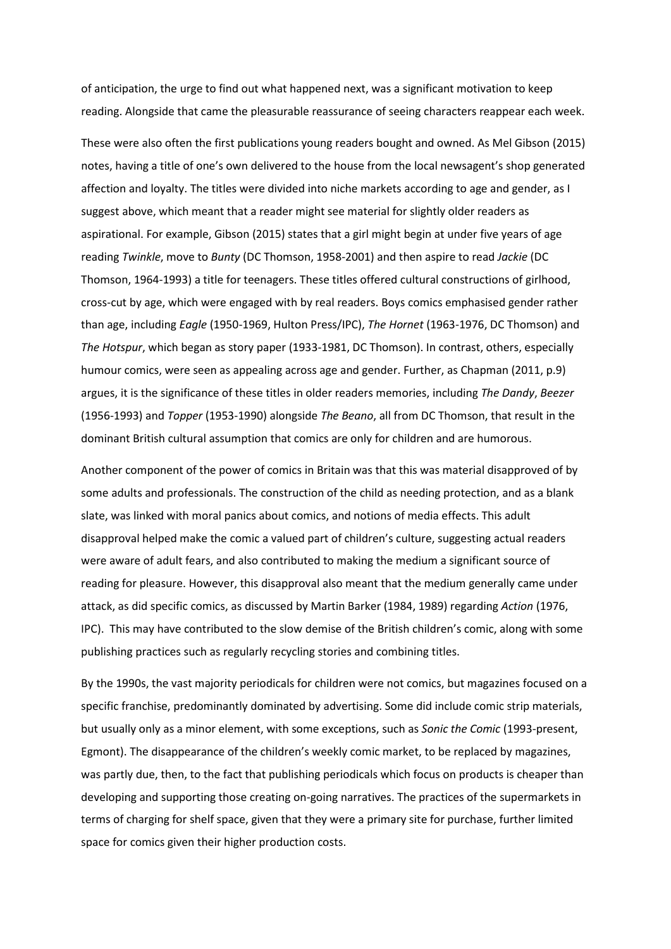of anticipation, the urge to find out what happened next, was a significant motivation to keep reading. Alongside that came the pleasurable reassurance of seeing characters reappear each week.

These were also often the first publications young readers bought and owned. As Mel Gibson (2015) notes, having a title of one's own delivered to the house from the local newsagent's shop generated affection and loyalty. The titles were divided into niche markets according to age and gender, as I suggest above, which meant that a reader might see material for slightly older readers as aspirational. For example, Gibson (2015) states that a girl might begin at under five years of age reading *Twinkle*, move to *Bunty* (DC Thomson, 1958-2001) and then aspire to read *Jackie* (DC Thomson, 1964-1993) a title for teenagers. These titles offered cultural constructions of girlhood, cross-cut by age, which were engaged with by real readers. Boys comics emphasised gender rather than age, including *Eagle* (1950-1969, Hulton Press/IPC), *The Hornet* (1963-1976, DC Thomson) and *The Hotspur*, which began as story paper (1933-1981, DC Thomson). In contrast, others, especially humour comics, were seen as appealing across age and gender. Further, as Chapman (2011, p.9) argues, it is the significance of these titles in older readers memories, including *The Dandy*, *Beezer*  (1956-1993) and *Topper* (1953-1990) alongside *The Beano*, all from DC Thomson, that result in the dominant British cultural assumption that comics are only for children and are humorous.

Another component of the power of comics in Britain was that this was material disapproved of by some adults and professionals. The construction of the child as needing protection, and as a blank slate, was linked with moral panics about comics, and notions of media effects. This adult disapproval helped make the comic a valued part of children's culture, suggesting actual readers were aware of adult fears, and also contributed to making the medium a significant source of reading for pleasure. However, this disapproval also meant that the medium generally came under attack, as did specific comics, as discussed by Martin Barker (1984, 1989) regarding *Action* (1976, IPC). This may have contributed to the slow demise of the British children's comic, along with some publishing practices such as regularly recycling stories and combining titles.

By the 1990s, the vast majority periodicals for children were not comics, but magazines focused on a specific franchise, predominantly dominated by advertising. Some did include comic strip materials, but usually only as a minor element, with some exceptions, such as *Sonic the Comic* (1993-present, Egmont). The disappearance of the children's weekly comic market, to be replaced by magazines, was partly due, then, to the fact that publishing periodicals which focus on products is cheaper than developing and supporting those creating on-going narratives. The practices of the supermarkets in terms of charging for shelf space, given that they were a primary site for purchase, further limited space for comics given their higher production costs.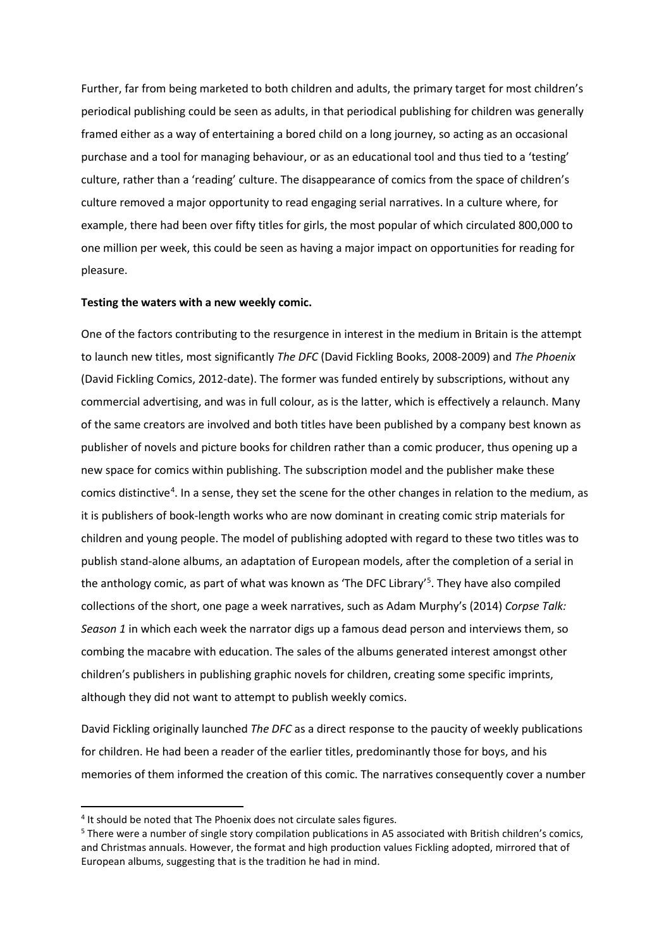Further, far from being marketed to both children and adults, the primary target for most children's periodical publishing could be seen as adults, in that periodical publishing for children was generally framed either as a way of entertaining a bored child on a long journey, so acting as an occasional purchase and a tool for managing behaviour, or as an educational tool and thus tied to a 'testing' culture, rather than a 'reading' culture. The disappearance of comics from the space of children's culture removed a major opportunity to read engaging serial narratives. In a culture where, for example, there had been over fifty titles for girls, the most popular of which circulated 800,000 to one million per week, this could be seen as having a major impact on opportunities for reading for pleasure.

## **Testing the waters with a new weekly comic.**

One of the factors contributing to the resurgence in interest in the medium in Britain is the attempt to launch new titles, most significantly *The DFC* (David Fickling Books, 2008-2009) and *The Phoenix* (David Fickling Comics, 2012-date). The former was funded entirely by subscriptions, without any commercial advertising, and was in full colour, as is the latter, which is effectively a relaunch. Many of the same creators are involved and both titles have been published by a company best known as publisher of novels and picture books for children rather than a comic producer, thus opening up a new space for comics within publishing. The subscription model and the publisher make these comics distinctive<sup>[4](#page-3-0)</sup>. In a sense, they set the scene for the other changes in relation to the medium, as it is publishers of book-length works who are now dominant in creating comic strip materials for children and young people. The model of publishing adopted with regard to these two titles was to publish stand-alone albums, an adaptation of European models, after the completion of a serial in the anthology comic, as part of what was known as 'The DFC Library'<sup>[5](#page-3-1)</sup>. They have also compiled collections of the short, one page a week narratives, such as Adam Murphy's (2014) *Corpse Talk: Season 1* in which each week the narrator digs up a famous dead person and interviews them, so combing the macabre with education. The sales of the albums generated interest amongst other children's publishers in publishing graphic novels for children, creating some specific imprints, although they did not want to attempt to publish weekly comics.

David Fickling originally launched *The DFC* as a direct response to the paucity of weekly publications for children. He had been a reader of the earlier titles, predominantly those for boys, and his memories of them informed the creation of this comic. The narratives consequently cover a number

<span id="page-3-0"></span><sup>&</sup>lt;sup>4</sup> It should be noted that The Phoenix does not circulate sales figures.

<span id="page-3-1"></span><sup>&</sup>lt;sup>5</sup> There were a number of single story compilation publications in A5 associated with British children's comics, and Christmas annuals. However, the format and high production values Fickling adopted, mirrored that of European albums, suggesting that is the tradition he had in mind.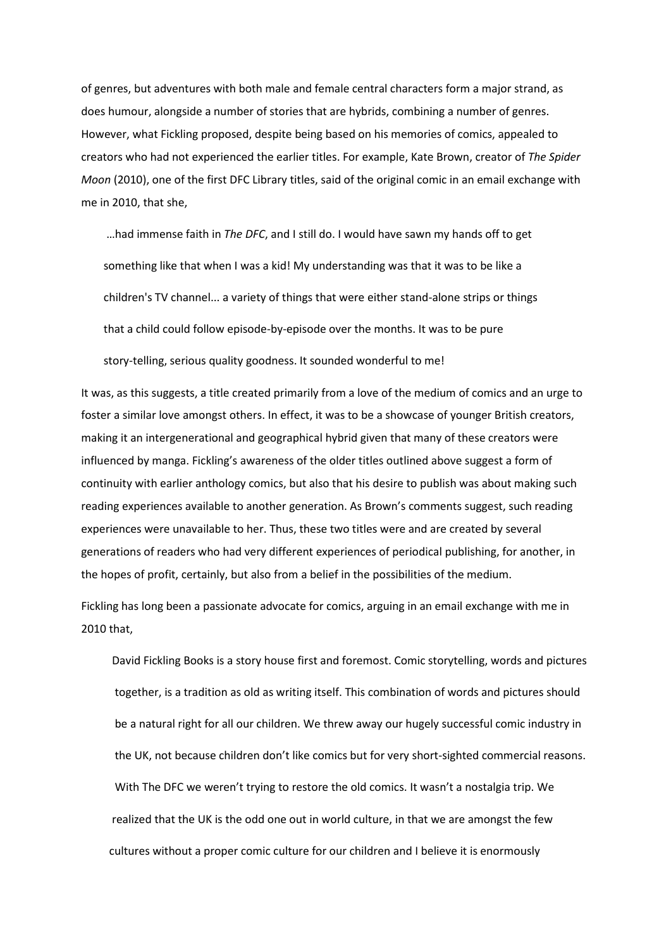of genres, but adventures with both male and female central characters form a major strand, as does humour, alongside a number of stories that are hybrids, combining a number of genres. However, what Fickling proposed, despite being based on his memories of comics, appealed to creators who had not experienced the earlier titles. For example, Kate Brown, creator of *The Spider Moon* (2010), one of the first DFC Library titles, said of the original comic in an email exchange with me in 2010, that she,

 …had immense faith in *The DFC*, and I still do. I would have sawn my hands off to get something like that when I was a kid! My understanding was that it was to be like a children's TV channel... a variety of things that were either stand-alone strips or things that a child could follow episode-by-episode over the months. It was to be pure

story-telling, serious quality goodness. It sounded wonderful to me!

It was, as this suggests, a title created primarily from a love of the medium of comics and an urge to foster a similar love amongst others. In effect, it was to be a showcase of younger British creators, making it an intergenerational and geographical hybrid given that many of these creators were influenced by manga. Fickling's awareness of the older titles outlined above suggest a form of continuity with earlier anthology comics, but also that his desire to publish was about making such reading experiences available to another generation. As Brown's comments suggest, such reading experiences were unavailable to her. Thus, these two titles were and are created by several generations of readers who had very different experiences of periodical publishing, for another, in the hopes of profit, certainly, but also from a belief in the possibilities of the medium.

Fickling has long been a passionate advocate for comics, arguing in an email exchange with me in 2010 that,

 David Fickling Books is a story house first and foremost. Comic storytelling, words and pictures together, is a tradition as old as writing itself. This combination of words and pictures should be a natural right for all our children. We threw away our hugely successful comic industry in the UK, not because children don't like comics but for very short-sighted commercial reasons. With The DFC we weren't trying to restore the old comics. It wasn't a nostalgia trip. We realized that the UK is the odd one out in world culture, in that we are amongst the few cultures without a proper comic culture for our children and I believe it is enormously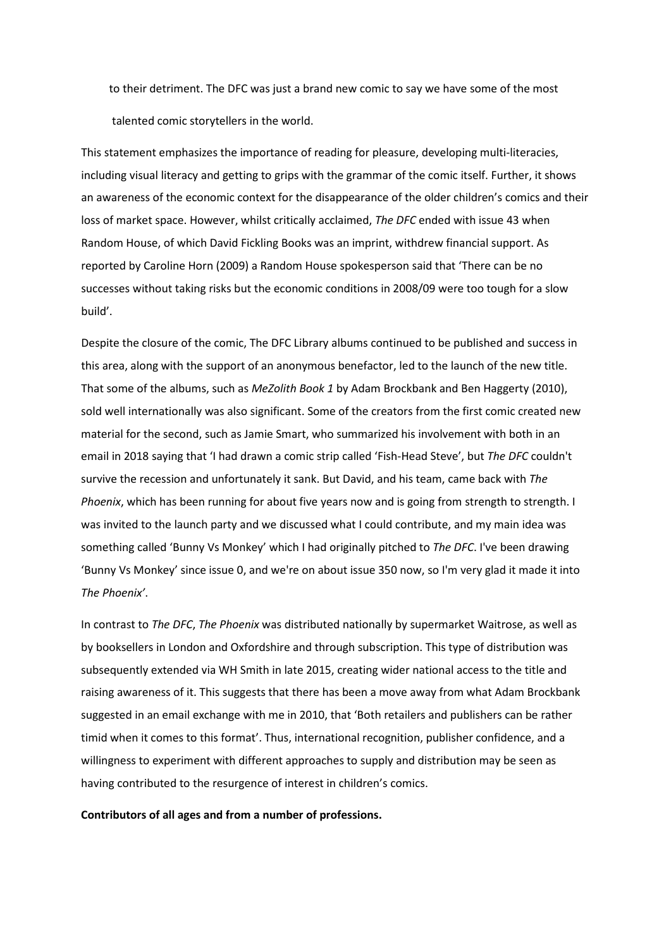to their detriment. The DFC was just a brand new comic to say we have some of the most

talented comic storytellers in the world.

This statement emphasizes the importance of reading for pleasure, developing multi-literacies, including visual literacy and getting to grips with the grammar of the comic itself. Further, it shows an awareness of the economic context for the disappearance of the older children's comics and their loss of market space. However, whilst critically acclaimed, *The DFC* ended with issue 43 when Random House, of which David Fickling Books was an imprint, withdrew financial support. As reported by Caroline Horn (2009) a Random House spokesperson said that 'There can be no successes without taking risks but the economic conditions in 2008/09 were too tough for a slow build'.

Despite the closure of the comic, The DFC Library albums continued to be published and success in this area, along with the support of an anonymous benefactor, led to the launch of the new title. That some of the albums, such as *MeZolith Book 1* by Adam Brockbank and Ben Haggerty (2010), sold well internationally was also significant. Some of the creators from the first comic created new material for the second, such as Jamie Smart, who summarized his involvement with both in an email in 2018 saying that 'I had drawn a comic strip called 'Fish-Head Steve', but *The DFC* couldn't survive the recession and unfortunately it sank. But David, and his team, came back with *The Phoenix*, which has been running for about five years now and is going from strength to strength. I was invited to the launch party and we discussed what I could contribute, and my main idea was something called 'Bunny Vs Monkey' which I had originally pitched to *The DFC*. I've been drawing 'Bunny Vs Monkey' since issue 0, and we're on about issue 350 now, so I'm very glad it made it into *The Phoenix'*.

In contrast to *The DFC*, *The Phoenix* was distributed nationally by supermarket Waitrose, as well as by booksellers in London and Oxfordshire and through subscription. This type of distribution was subsequently extended via WH Smith in late 2015, creating wider national access to the title and raising awareness of it. This suggests that there has been a move away from what Adam Brockbank suggested in an email exchange with me in 2010, that 'Both retailers and publishers can be rather timid when it comes to this format'. Thus, international recognition, publisher confidence, and a willingness to experiment with different approaches to supply and distribution may be seen as having contributed to the resurgence of interest in children's comics.

**Contributors of all ages and from a number of professions.**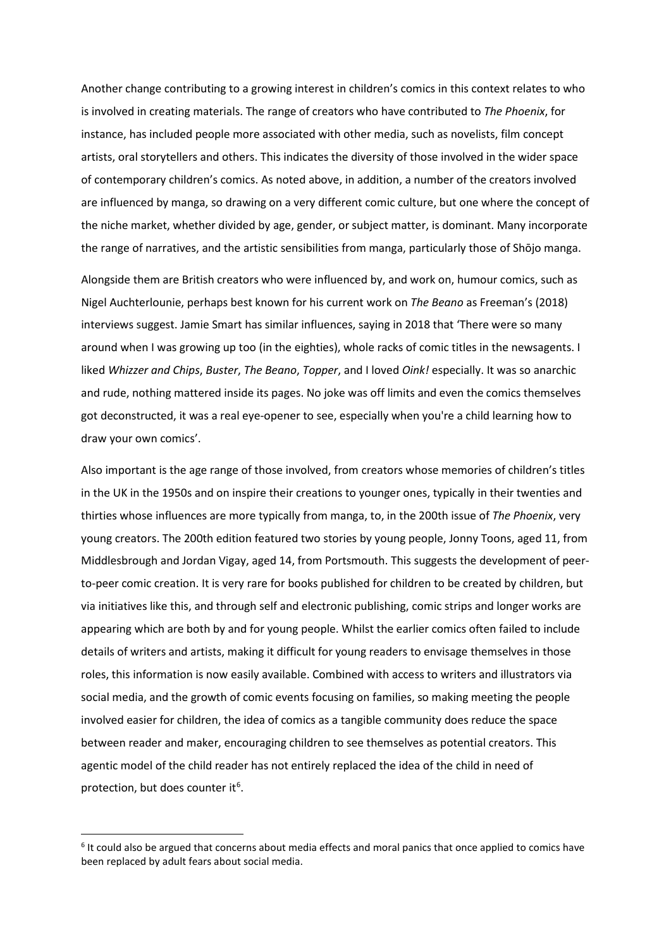Another change contributing to a growing interest in children's comics in this context relates to who is involved in creating materials. The range of creators who have contributed to *The Phoenix*, for instance, has included people more associated with other media, such as novelists, film concept artists, oral storytellers and others. This indicates the diversity of those involved in the wider space of contemporary children's comics. As noted above, in addition, a number of the creators involved are influenced by manga, so drawing on a very different comic culture, but one where the concept of the niche market, whether divided by age, gender, or subject matter, is dominant. Many incorporate the range of narratives, and the artistic sensibilities from manga, particularly those of Shōjo manga.

Alongside them are British creators who were influenced by, and work on, humour comics, such as Nigel Auchterlounie, perhaps best known for his current work on *The Beano* as Freeman's (2018) interviews suggest. Jamie Smart has similar influences, saying in 2018 that 'There were so many around when I was growing up too (in the eighties), whole racks of comic titles in the newsagents. I liked *Whizzer and Chips*, *Buster*, *The Beano*, *Topper*, and I loved *Oink!* especially. It was so anarchic and rude, nothing mattered inside its pages. No joke was off limits and even the comics themselves got deconstructed, it was a real eye-opener to see, especially when you're a child learning how to draw your own comics'.

Also important is the age range of those involved, from creators whose memories of children's titles in the UK in the 1950s and on inspire their creations to younger ones, typically in their twenties and thirties whose influences are more typically from manga, to, in the 200th issue of *The Phoenix*, very young creators. The 200th edition featured two stories by young people, Jonny Toons, aged 11, from Middlesbrough and Jordan Vigay, aged 14, from Portsmouth. This suggests the development of peerto-peer comic creation. It is very rare for books published for children to be created by children, but via initiatives like this, and through self and electronic publishing, comic strips and longer works are appearing which are both by and for young people. Whilst the earlier comics often failed to include details of writers and artists, making it difficult for young readers to envisage themselves in those roles, this information is now easily available. Combined with access to writers and illustrators via social media, and the growth of comic events focusing on families, so making meeting the people involved easier for children, the idea of comics as a tangible community does reduce the space between reader and maker, encouraging children to see themselves as potential creators. This agentic model of the child reader has not entirely replaced the idea of the child in need of protection, but does counter it<sup>[6](#page-6-0)</sup>.

<span id="page-6-0"></span><sup>&</sup>lt;sup>6</sup> It could also be argued that concerns about media effects and moral panics that once applied to comics have been replaced by adult fears about social media.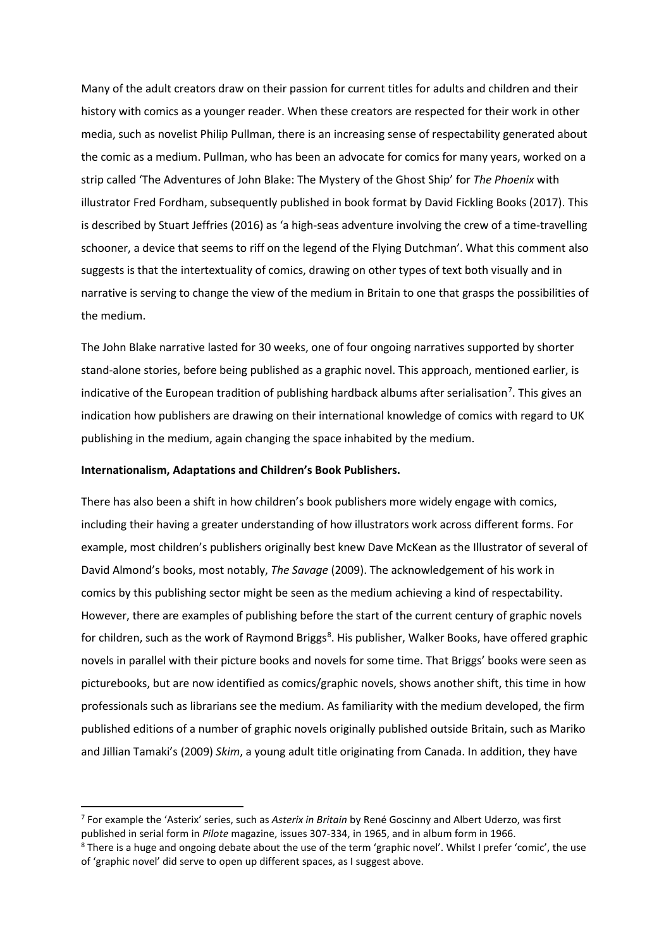Many of the adult creators draw on their passion for current titles for adults and children and their history with comics as a younger reader. When these creators are respected for their work in other media, such as novelist Philip Pullman, there is an increasing sense of respectability generated about the comic as a medium. Pullman, who has been an advocate for comics for many years, worked on a strip called 'The Adventures of John Blake: The Mystery of the Ghost Ship' for *The Phoenix* with illustrator Fred Fordham, subsequently published in book format by David Fickling Books (2017). This is described by Stuart Jeffries (2016) as 'a high-seas adventure involving the crew of a time-travelling schooner, a device that seems to riff on the legend of the Flying Dutchman'. What this comment also suggests is that the intertextuality of comics, drawing on other types of text both visually and in narrative is serving to change the view of the medium in Britain to one that grasps the possibilities of the medium.

The John Blake narrative lasted for 30 weeks, one of four ongoing narratives supported by shorter stand-alone stories, before being published as a graphic novel. This approach, mentioned earlier, is indicative of the European tradition of publishing hardback albums after serialisation<sup>[7](#page-7-0)</sup>. This gives an indication how publishers are drawing on their international knowledge of comics with regard to UK publishing in the medium, again changing the space inhabited by the medium.

## **Internationalism, Adaptations and Children's Book Publishers.**

There has also been a shift in how children's book publishers more widely engage with comics, including their having a greater understanding of how illustrators work across different forms. For example, most children's publishers originally best knew Dave McKean as the Illustrator of several of David Almond's books, most notably, *The Savage* (2009). The acknowledgement of his work in comics by this publishing sector might be seen as the medium achieving a kind of respectability. However, there are examples of publishing before the start of the current century of graphic novels for children, such as the work of Raymond Briggs<sup>[8](#page-7-1)</sup>. His publisher, Walker Books, have offered graphic novels in parallel with their picture books and novels for some time. That Briggs' books were seen as picturebooks, but are now identified as comics/graphic novels, shows another shift, this time in how professionals such as librarians see the medium. As familiarity with the medium developed, the firm published editions of a number of graphic novels originally published outside Britain, such as Mariko and Jillian Tamaki's (2009) *Skim*, a young adult title originating from Canada. In addition, they have

<span id="page-7-0"></span> <sup>7</sup> For example the 'Asterix' series, such as *Asterix in Britain* by René Goscinny and Albert Uderzo, was first published in serial form in *Pilote* magazine, issues 307-334, in 1965, and in album form in 1966.

<span id="page-7-1"></span><sup>&</sup>lt;sup>8</sup> There is a huge and ongoing debate about the use of the term 'graphic novel'. Whilst I prefer 'comic', the use of 'graphic novel' did serve to open up different spaces, as I suggest above.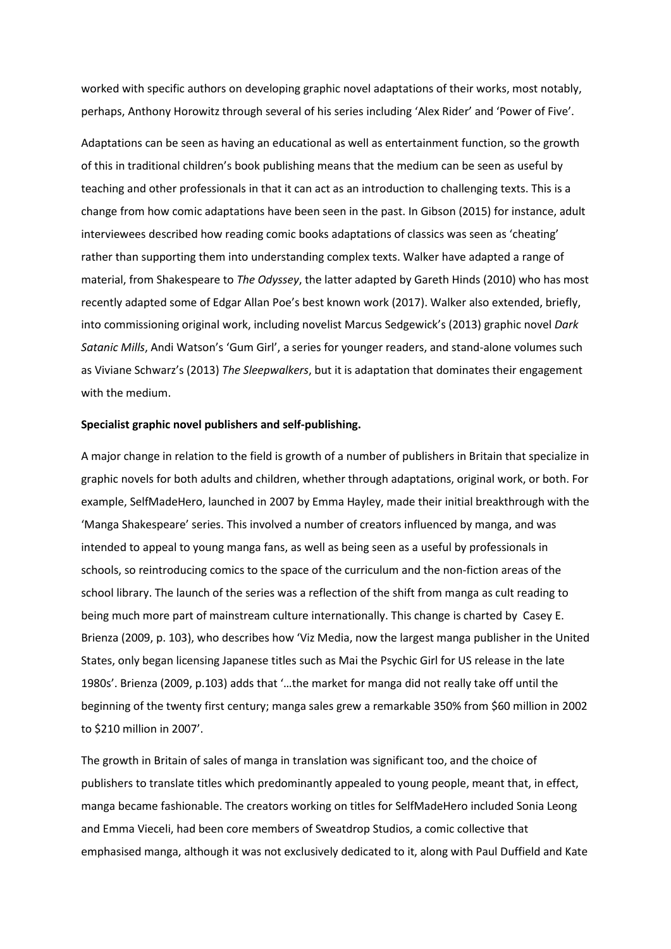worked with specific authors on developing graphic novel adaptations of their works, most notably, perhaps, Anthony Horowitz through several of his series including 'Alex Rider' and 'Power of Five'.

Adaptations can be seen as having an educational as well as entertainment function, so the growth of this in traditional children's book publishing means that the medium can be seen as useful by teaching and other professionals in that it can act as an introduction to challenging texts. This is a change from how comic adaptations have been seen in the past. In Gibson (2015) for instance, adult interviewees described how reading comic books adaptations of classics was seen as 'cheating' rather than supporting them into understanding complex texts. Walker have adapted a range of material, from Shakespeare to *The Odyssey*, the latter adapted by Gareth Hinds (2010) who has most recently adapted some of Edgar Allan Poe's best known work (2017). Walker also extended, briefly, into commissioning original work, including novelist Marcus Sedgewick's (2013) graphic novel *Dark Satanic Mills*, Andi Watson's 'Gum Girl', a series for younger readers, and stand-alone volumes such as Viviane Schwarz's (2013) *The Sleepwalkers*, but it is adaptation that dominates their engagement with the medium.

#### **Specialist graphic novel publishers and self-publishing.**

A major change in relation to the field is growth of a number of publishers in Britain that specialize in graphic novels for both adults and children, whether through adaptations, original work, or both. For example, SelfMadeHero, launched in 2007 by Emma Hayley, made their initial breakthrough with the 'Manga Shakespeare' series. This involved a number of creators influenced by manga, and was intended to appeal to young manga fans, as well as being seen as a useful by professionals in schools, so reintroducing comics to the space of the curriculum and the non-fiction areas of the school library. The launch of the series was a reflection of the shift from manga as cult reading to being much more part of mainstream culture internationally. This change is charted by Casey E. Brienza (2009, p. 103), who describes how 'Viz Media, now the largest manga publisher in the United States, only began licensing Japanese titles such as Mai the Psychic Girl for US release in the late 1980s'. Brienza (2009, p.103) adds that '…the market for manga did not really take off until the beginning of the twenty first century; manga sales grew a remarkable 350% from \$60 million in 2002 to \$210 million in 2007'.

The growth in Britain of sales of manga in translation was significant too, and the choice of publishers to translate titles which predominantly appealed to young people, meant that, in effect, manga became fashionable. The creators working on titles for SelfMadeHero included Sonia Leong and Emma Vieceli, had been core members of Sweatdrop Studios, a comic collective that emphasised manga, although it was not exclusively dedicated to it, along with Paul Duffield and Kate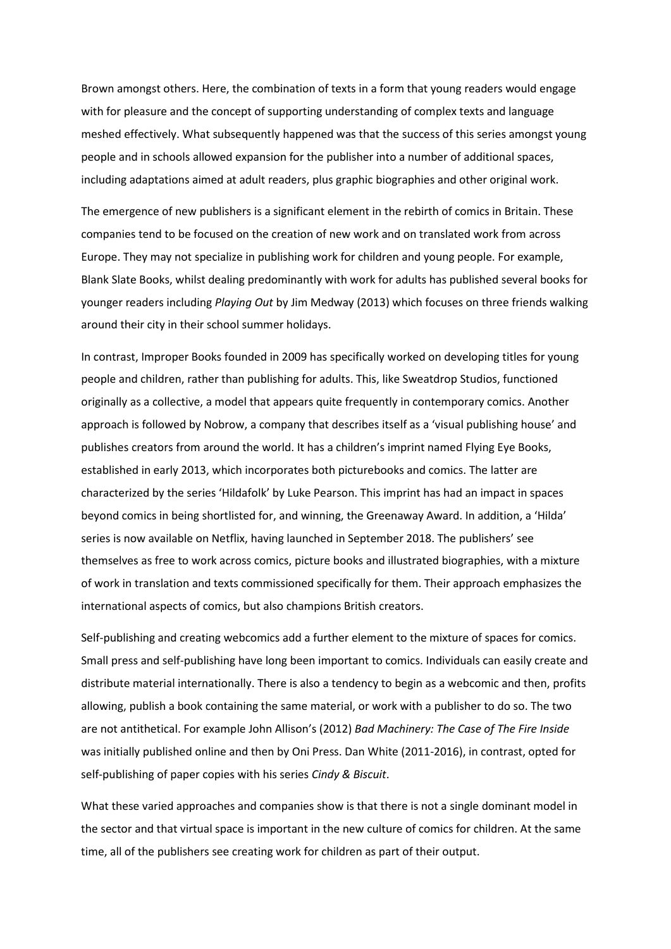Brown amongst others. Here, the combination of texts in a form that young readers would engage with for pleasure and the concept of supporting understanding of complex texts and language meshed effectively. What subsequently happened was that the success of this series amongst young people and in schools allowed expansion for the publisher into a number of additional spaces, including adaptations aimed at adult readers, plus graphic biographies and other original work.

The emergence of new publishers is a significant element in the rebirth of comics in Britain. These companies tend to be focused on the creation of new work and on translated work from across Europe. They may not specialize in publishing work for children and young people. For example, Blank Slate Books, whilst dealing predominantly with work for adults has published several books for younger readers including *Playing Out* by Jim Medway (2013) which focuses on three friends walking around their city in their school summer holidays.

In contrast, Improper Books founded in 2009 has specifically worked on developing titles for young people and children, rather than publishing for adults. This, like Sweatdrop Studios, functioned originally as a collective, a model that appears quite frequently in contemporary comics. Another approach is followed by Nobrow, a company that describes itself as a 'visual publishing house' and publishes creators from around the world. It has a children's imprint named Flying Eye Books, established in early 2013, which incorporates both picturebooks and comics. The latter are characterized by the series 'Hildafolk' by Luke Pearson. This imprint has had an impact in spaces beyond comics in being shortlisted for, and winning, the Greenaway Award. In addition, a 'Hilda' series is now available on Netflix, having launched in September 2018. The publishers' see themselves as free to work across comics, picture books and illustrated biographies, with a mixture of work in translation and texts commissioned specifically for them. Their approach emphasizes the international aspects of comics, but also champions British creators.

Self-publishing and creating webcomics add a further element to the mixture of spaces for comics. Small press and self-publishing have long been important to comics. Individuals can easily create and distribute material internationally. There is also a tendency to begin as a webcomic and then, profits allowing, publish a book containing the same material, or work with a publisher to do so. The two are not antithetical. For example John Allison's (2012) *Bad Machinery: The Case of The Fire Inside* was initially published online and then by Oni Press. Dan White (2011-2016), in contrast, opted for self-publishing of paper copies with his series *Cindy & Biscuit*.

What these varied approaches and companies show is that there is not a single dominant model in the sector and that virtual space is important in the new culture of comics for children. At the same time, all of the publishers see creating work for children as part of their output.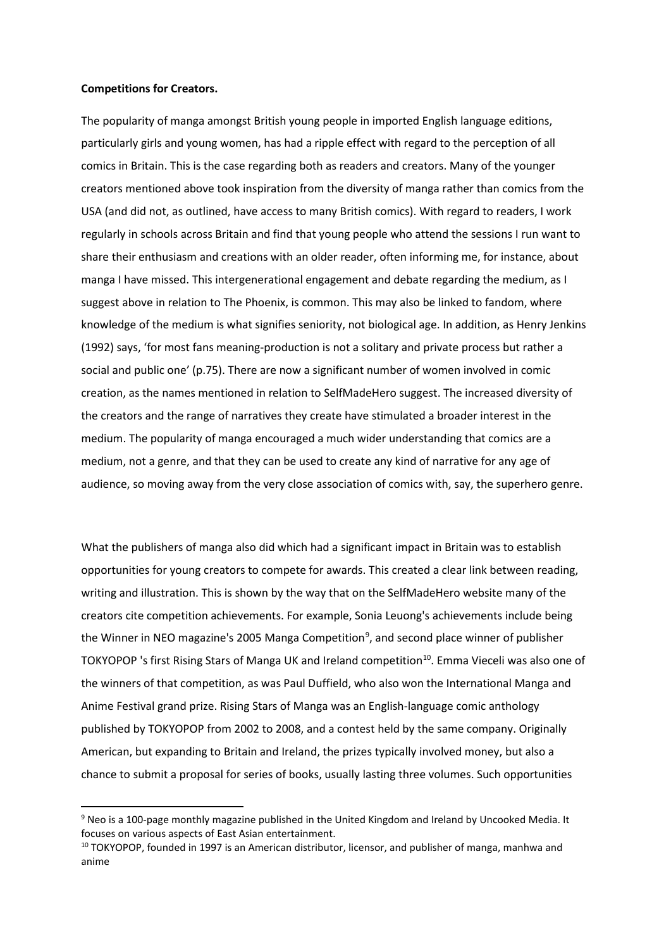## **Competitions for Creators.**

The popularity of manga amongst British young people in imported English language editions, particularly girls and young women, has had a ripple effect with regard to the perception of all comics in Britain. This is the case regarding both as readers and creators. Many of the younger creators mentioned above took inspiration from the diversity of manga rather than comics from the USA (and did not, as outlined, have access to many British comics). With regard to readers, I work regularly in schools across Britain and find that young people who attend the sessions I run want to share their enthusiasm and creations with an older reader, often informing me, for instance, about manga I have missed. This intergenerational engagement and debate regarding the medium, as I suggest above in relation to The Phoenix, is common. This may also be linked to fandom, where knowledge of the medium is what signifies seniority, not biological age. In addition, as Henry Jenkins (1992) says, 'for most fans meaning-production is not a solitary and private process but rather a social and public one' (p.75). There are now a significant number of women involved in comic creation, as the names mentioned in relation to SelfMadeHero suggest. The increased diversity of the creators and the range of narratives they create have stimulated a broader interest in the medium. The popularity of manga encouraged a much wider understanding that comics are a medium, not a genre, and that they can be used to create any kind of narrative for any age of audience, so moving away from the very close association of comics with, say, the superhero genre.

What the publishers of manga also did which had a significant impact in Britain was to establish opportunities for young creators to compete for awards. This created a clear link between reading, writing and illustration. This is shown by the way that on the SelfMadeHero website many of the creators cite competition achievements. For example, Sonia Leuong's achievements include being the Winner in NEO magazine's 2005 Manga Competition<sup>[9](#page-10-0)</sup>, and second place winner of publisher TOKYOPOP 's first Rising Stars of Manga UK and Ireland competition<sup>10</sup>. Emma Vieceli was also one of the winners of that competition, as was Paul Duffield, who also won the International Manga and Anime Festival grand prize. Rising Stars of Manga was an English-language comic anthology published by TOKYOPOP from 2002 to 2008, and a contest held by the same company. Originally American, but expanding to Britain and Ireland, the prizes typically involved money, but also a chance to submit a proposal for series of books, usually lasting three volumes. Such opportunities

<span id="page-10-0"></span> <sup>9</sup> Neo is a 100-page monthly magazine published in the United Kingdom and Ireland by Uncooked Media. It focuses on various aspects of East Asian entertainment.

<span id="page-10-1"></span><sup>&</sup>lt;sup>10</sup> TOKYOPOP, founded in 1997 is an American distributor, licensor, and publisher of manga, manhwa and anime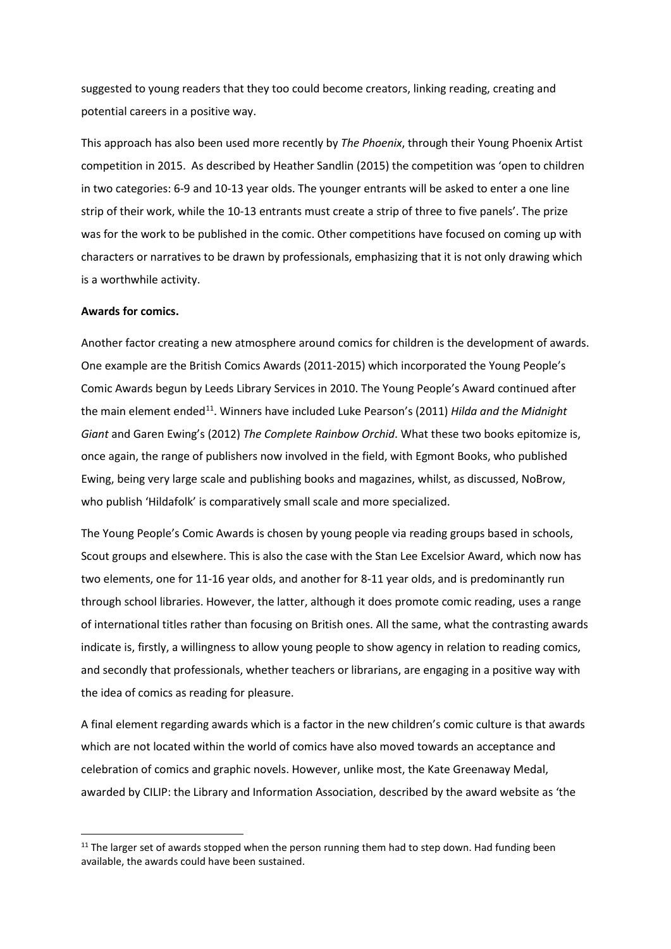suggested to young readers that they too could become creators, linking reading, creating and potential careers in a positive way.

This approach has also been used more recently by *The Phoenix*, through their Young Phoenix Artist competition in 2015. As described by Heather Sandlin (2015) the competition was 'open to children in two categories: 6-9 and 10-13 year olds. The younger entrants will be asked to enter a one line strip of their work, while the 10-13 entrants must create a strip of three to five panels'. The prize was for the work to be published in the comic. Other competitions have focused on coming up with characters or narratives to be drawn by professionals, emphasizing that it is not only drawing which is a worthwhile activity.

## **Awards for comics.**

Another factor creating a new atmosphere around comics for children is the development of awards. One example are the British Comics Awards (2011-2015) which incorporated the Young People's Comic Awards begun by Leeds Library Services in 2010. The Young People's Award continued after the main element ended[11.](#page-11-0) Winners have included Luke Pearson's (2011) *Hilda and the Midnight Giant* and Garen Ewing's (2012) *The Complete Rainbow Orchid*. What these two books epitomize is, once again, the range of publishers now involved in the field, with Egmont Books, who published Ewing, being very large scale and publishing books and magazines, whilst, as discussed, NoBrow, who publish 'Hildafolk' is comparatively small scale and more specialized.

The Young People's Comic Awards is chosen by young people via reading groups based in schools, Scout groups and elsewhere. This is also the case with the Stan Lee Excelsior Award, which now has two elements, one for 11-16 year olds, and another for 8-11 year olds, and is predominantly run through school libraries. However, the latter, although it does promote comic reading, uses a range of international titles rather than focusing on British ones. All the same, what the contrasting awards indicate is, firstly, a willingness to allow young people to show agency in relation to reading comics, and secondly that professionals, whether teachers or librarians, are engaging in a positive way with the idea of comics as reading for pleasure.

A final element regarding awards which is a factor in the new children's comic culture is that awards which are not located within the world of comics have also moved towards an acceptance and celebration of comics and graphic novels. However, unlike most, the Kate Greenaway Medal, awarded by CILIP: the Library and Information Association, described by the award website as 'the

<span id="page-11-0"></span><sup>&</sup>lt;sup>11</sup> The larger set of awards stopped when the person running them had to step down. Had funding been available, the awards could have been sustained.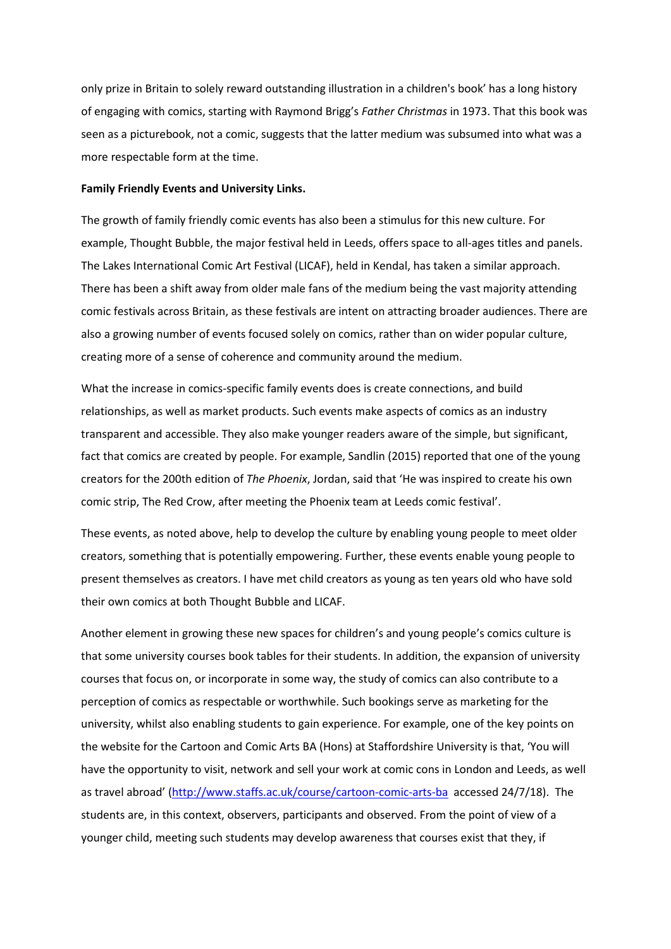only prize in Britain to solely reward outstanding illustration in a children's book' has a long history of engaging with comics, starting with Raymond Brigg's *Father Christmas* in 1973. That this book was seen as a picturebook, not a comic, suggests that the latter medium was subsumed into what was a more respectable form at the time.

#### **Family Friendly Events and University Links.**

The growth of family friendly comic events has also been a stimulus for this new culture. For example, Thought Bubble, the major festival held in Leeds, offers space to all-ages titles and panels. The Lakes International Comic Art Festival (LICAF), held in Kendal, has taken a similar approach. There has been a shift away from older male fans of the medium being the vast majority attending comic festivals across Britain, as these festivals are intent on attracting broader audiences. There are also a growing number of events focused solely on comics, rather than on wider popular culture, creating more of a sense of coherence and community around the medium.

What the increase in comics-specific family events does is create connections, and build relationships, as well as market products. Such events make aspects of comics as an industry transparent and accessible. They also make younger readers aware of the simple, but significant, fact that comics are created by people. For example, Sandlin (2015) reported that one of the young creators for the 200th edition of *The Phoenix*, Jordan, said that 'He was inspired to create his own comic strip, The Red Crow, after meeting the Phoenix team at Leeds comic festival'.

These events, as noted above, help to develop the culture by enabling young people to meet older creators, something that is potentially empowering. Further, these events enable young people to present themselves as creators. I have met child creators as young as ten years old who have sold their own comics at both Thought Bubble and LICAF.

Another element in growing these new spaces for children's and young people's comics culture is that some university courses book tables for their students. In addition, the expansion of university courses that focus on, or incorporate in some way, the study of comics can also contribute to a perception of comics as respectable or worthwhile. Such bookings serve as marketing for the university, whilst also enabling students to gain experience. For example, one of the key points on the website for the Cartoon and Comic Arts BA (Hons) at Staffordshire University is that, 'You will have the opportunity to visit, network and sell your work at comic cons in London and Leeds, as well as travel abroad' [\(http://www.staffs.ac.uk/course/cartoon-comic-arts-ba](http://www.staffs.ac.uk/course/cartoon-comic-arts-ba) accessed 24/7/18). The students are, in this context, observers, participants and observed. From the point of view of a younger child, meeting such students may develop awareness that courses exist that they, if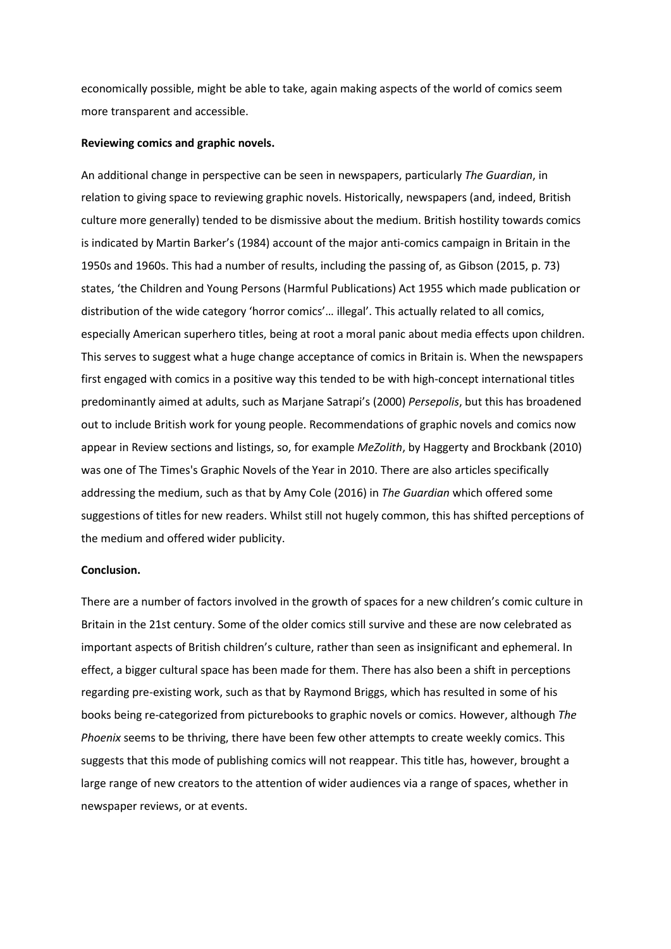economically possible, might be able to take, again making aspects of the world of comics seem more transparent and accessible.

#### **Reviewing comics and graphic novels.**

An additional change in perspective can be seen in newspapers, particularly *The Guardian*, in relation to giving space to reviewing graphic novels. Historically, newspapers (and, indeed, British culture more generally) tended to be dismissive about the medium. British hostility towards comics is indicated by Martin Barker's (1984) account of the major anti-comics campaign in Britain in the 1950s and 1960s. This had a number of results, including the passing of, as Gibson (2015, p. 73) states, 'the Children and Young Persons (Harmful Publications) Act 1955 which made publication or distribution of the wide category 'horror comics'… illegal'. This actually related to all comics, especially American superhero titles, being at root a moral panic about media effects upon children. This serves to suggest what a huge change acceptance of comics in Britain is. When the newspapers first engaged with comics in a positive way this tended to be with high-concept international titles predominantly aimed at adults, such as Marjane Satrapi's (2000) *Persepolis*, but this has broadened out to include British work for young people. Recommendations of graphic novels and comics now appear in Review sections and listings, so, for example *MeZolith*, by Haggerty and Brockbank (2010) was one of The Times's Graphic Novels of the Year in 2010. There are also articles specifically addressing the medium, such as that by Amy Cole (2016) in *The Guardian* which offered some suggestions of titles for new readers. Whilst still not hugely common, this has shifted perceptions of the medium and offered wider publicity.

#### **Conclusion.**

There are a number of factors involved in the growth of spaces for a new children's comic culture in Britain in the 21st century. Some of the older comics still survive and these are now celebrated as important aspects of British children's culture, rather than seen as insignificant and ephemeral. In effect, a bigger cultural space has been made for them. There has also been a shift in perceptions regarding pre-existing work, such as that by Raymond Briggs, which has resulted in some of his books being re-categorized from picturebooks to graphic novels or comics. However, although *The Phoenix* seems to be thriving, there have been few other attempts to create weekly comics. This suggests that this mode of publishing comics will not reappear. This title has, however, brought a large range of new creators to the attention of wider audiences via a range of spaces, whether in newspaper reviews, or at events.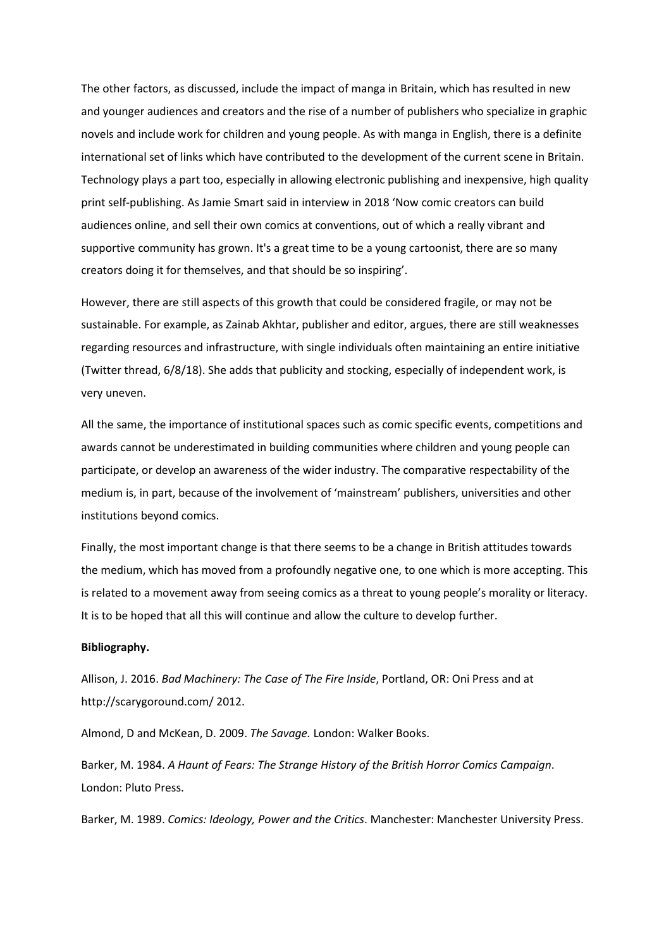The other factors, as discussed, include the impact of manga in Britain, which has resulted in new and younger audiences and creators and the rise of a number of publishers who specialize in graphic novels and include work for children and young people. As with manga in English, there is a definite international set of links which have contributed to the development of the current scene in Britain. Technology plays a part too, especially in allowing electronic publishing and inexpensive, high quality print self-publishing. As Jamie Smart said in interview in 2018 'Now comic creators can build audiences online, and sell their own comics at conventions, out of which a really vibrant and supportive community has grown. It's a great time to be a young cartoonist, there are so many creators doing it for themselves, and that should be so inspiring'.

However, there are still aspects of this growth that could be considered fragile, or may not be sustainable. For example, as Zainab Akhtar, publisher and editor, argues, there are still weaknesses regarding resources and infrastructure, with single individuals often maintaining an entire initiative (Twitter thread, 6/8/18). She adds that publicity and stocking, especially of independent work, is very uneven.

All the same, the importance of institutional spaces such as comic specific events, competitions and awards cannot be underestimated in building communities where children and young people can participate, or develop an awareness of the wider industry. The comparative respectability of the medium is, in part, because of the involvement of 'mainstream' publishers, universities and other institutions beyond comics.

Finally, the most important change is that there seems to be a change in British attitudes towards the medium, which has moved from a profoundly negative one, to one which is more accepting. This is related to a movement away from seeing comics as a threat to young people's morality or literacy. It is to be hoped that all this will continue and allow the culture to develop further.

# **Bibliography.**

Allison, J. 2016. *Bad Machinery: The Case of The Fire Inside*, Portland, OR: Oni Press and at http://scarygoround.com/ 2012.

Almond, D and McKean, D. 2009. *The Savage.* London: Walker Books.

Barker, M. 1984. *A Haunt of Fears: The Strange History of the British Horror Comics Campaign*. London: Pluto Press.

Barker, M. 1989. *Comics: Ideology, Power and the Critics*. Manchester: Manchester University Press.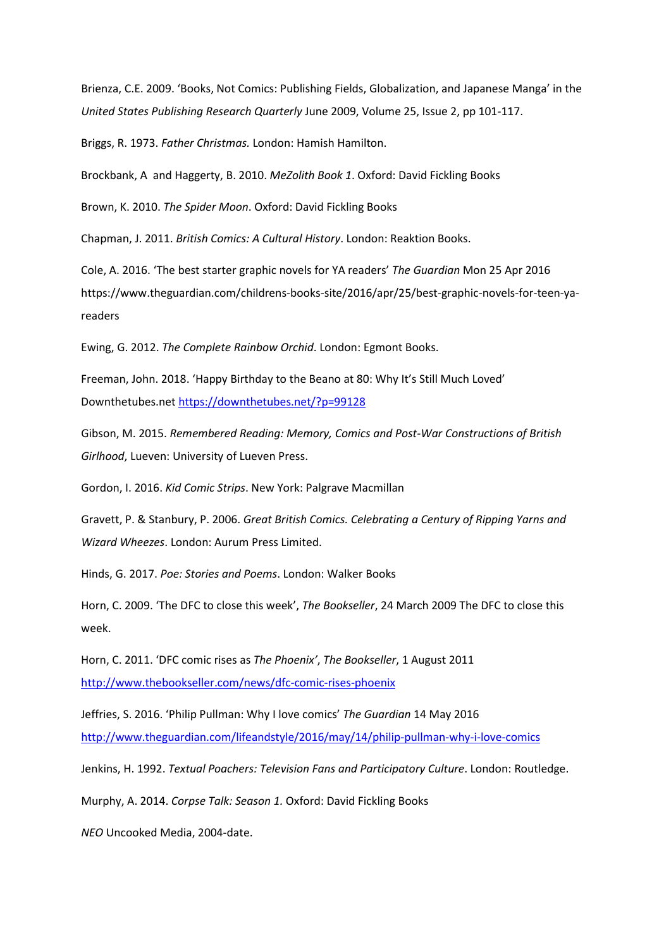Brienza, C.E. 2009. 'Books, Not Comics: Publishing Fields, Globalization, and Japanese Manga' in the *United States Publishing Research Quarterly* June 2009, Volume 25, Issue 2, pp 101-117.

Briggs, R. 1973. *Father Christmas.* London: Hamish Hamilton.

Brockbank, A and Haggerty, B. 2010. *MeZolith Book 1*. Oxford: David Fickling Books

Brown, K. 2010. *The Spider Moon*. Oxford: David Fickling Books

Chapman, J. 2011. *British Comics: A Cultural History*. London: Reaktion Books.

Cole, A. 2016. 'The best starter graphic novels for YA readers' *The Guardian* Mon 25 Apr 2016 https://www.theguardian.com/childrens-books-site/2016/apr/25/best-graphic-novels-for-teen-yareaders

Ewing, G. 2012. *The Complete Rainbow Orchid*. London: Egmont Books.

Freeman, John. 2018. 'Happy Birthday to the Beano at 80: Why It's Still Much Loved' Downthetubes.net<https://downthetubes.net/?p=99128>

Gibson, M. 2015. *Remembered Reading: Memory, Comics and Post-War Constructions of British Girlhood*, Lueven: University of Lueven Press.

Gordon, I. 2016. *Kid Comic Strips*. New York: Palgrave Macmillan

Gravett, P. & Stanbury, P. 2006. *Great British Comics. Celebrating a Century of Ripping Yarns and Wizard Wheezes*. London: Aurum Press Limited.

Hinds, G. 2017. *Poe: Stories and Poems*. London: Walker Books

Horn, C. 2009. 'The DFC to close this week', *The Bookseller*, 24 March 2009 The DFC to close this week.

Horn, C. 2011. 'DFC comic rises as *The Phoenix'*, *The Bookseller*, 1 August 2011 <http://www.thebookseller.com/news/dfc-comic-rises-phoenix>

Jeffries, S. 2016. 'Philip Pullman: Why I love comics' *The Guardian* 14 May 2016 <http://www.theguardian.com/lifeandstyle/2016/may/14/philip-pullman-why-i-love-comics>

Jenkins, H. 1992. *Textual Poachers: Television Fans and Participatory Culture*. London: Routledge.

Murphy, A. 2014. *Corpse Talk: Season 1.* Oxford: David Fickling Books

*NEO* Uncooked Media, 2004-date.